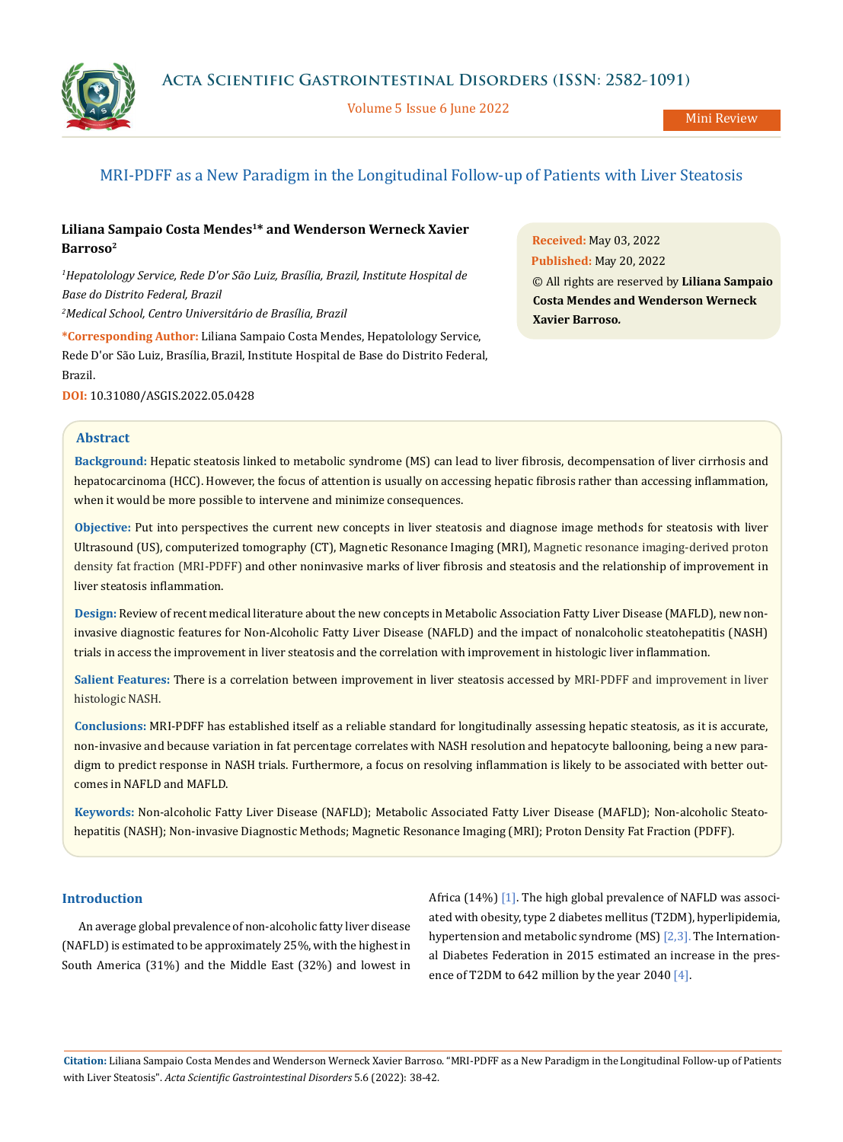

Volume 5 Issue 6 June 2022

# MRI-PDFF as a New Paradigm in the Longitudinal Follow-up of Patients with Liver Steatosis

# **Liliana Sampaio Costa Mendes1\* and Wenderson Werneck Xavier Barroso2**

*1 Hepatolology Service, Rede D'or São Luiz, Brasília, Brazil, Institute Hospital de Base do Distrito Federal, Brazil 2 Medical School, Centro Universitário de Brasília, Brazil*

**\*Corresponding Author:** Liliana Sampaio Costa Mendes, Hepatolology Service, Rede D'or São Luiz, Brasília, Brazil, Institute Hospital de Base do Distrito Federal, Brazil.

**DOI:** [10.31080/ASGIS.2022.05.0428](https://actascientific.com/ASGIS/pdf/ASGIS-05-0428.pdf)

**Abstract**

**Background:** Hepatic steatosis linked to metabolic syndrome (MS) can lead to liver fibrosis, decompensation of liver cirrhosis and hepatocarcinoma (HCC). However, the focus of attention is usually on accessing hepatic fibrosis rather than accessing inflammation, when it would be more possible to intervene and minimize consequences.

**Objective:** Put into perspectives the current new concepts in liver steatosis and diagnose image methods for steatosis with liver Ultrasound (US), computerized tomography (CT), Magnetic Resonance Imaging (MRI), Magnetic resonance imaging-derived proton density fat fraction (MRI-PDFF) and other noninvasive marks of liver fibrosis and steatosis and the relationship of improvement in liver steatosis inflammation.

**Design:** Review of recent medical literature about the new concepts in Metabolic Association Fatty Liver Disease (MAFLD), new noninvasive diagnostic features for Non-Alcoholic Fatty Liver Disease (NAFLD) and the impact of nonalcoholic steatohepatitis (NASH) trials in access the improvement in liver steatosis and the correlation with improvement in histologic liver inflammation.

**Salient Features:** There is a correlation between improvement in liver steatosis accessed by MRI-PDFF and improvement in liver histologic NASH.

**Conclusions:** MRI-PDFF has established itself as a reliable standard for longitudinally assessing hepatic steatosis, as it is accurate, non-invasive and because variation in fat percentage correlates with NASH resolution and hepatocyte ballooning, being a new paradigm to predict response in NASH trials. Furthermore, a focus on resolving inflammation is likely to be associated with better outcomes in NAFLD and MAFLD.

**Keywords:** Non-alcoholic Fatty Liver Disease (NAFLD); Metabolic Associated Fatty Liver Disease (MAFLD); Non-alcoholic Steatohepatitis (NASH); Non-invasive Diagnostic Methods; Magnetic Resonance Imaging (MRI); Proton Density Fat Fraction (PDFF).

### **Introduction**

An average global prevalence of non-alcoholic fatty liver disease (NAFLD) is estimated to be approximately 25%, with the highest in South America (31%) and the Middle East (32%) and lowest in Africa (14%) [1]. The high global prevalence of NAFLD was associated with obesity, type 2 diabetes mellitus (T2DM), hyperlipidemia, hypertension and metabolic syndrome (MS) [2,3]. The International Diabetes Federation in 2015 estimated an increase in the presence of T2DM to 642 million by the year 2040 [4].

**Citation:** Liliana Sampaio Costa Mendes and Wenderson Werneck Xavier Barroso. "MRI-PDFF as a New Paradigm in the Longitudinal Follow-up of Patients with Liver Steatosis". *Acta Scientific Gastrointestinal Disorders* 5.6 (2022): 38-42.

**Received:** May 03, 2022 **Published:** May 20, 2022 © All rights are reserved by **Liliana Sampaio Costa Mendes and Wenderson Werneck Xavier Barroso***.*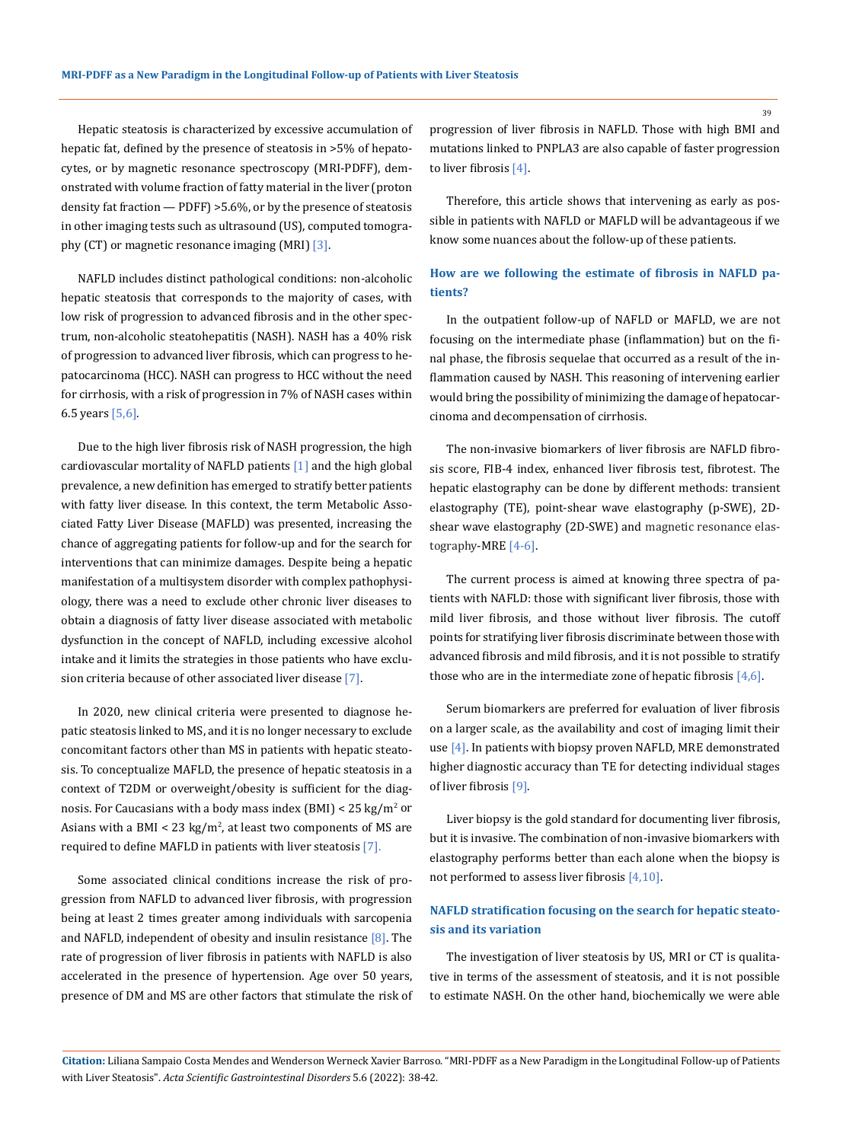Hepatic steatosis is characterized by excessive accumulation of hepatic fat, defined by the presence of steatosis in >5% of hepatocytes, or by magnetic resonance spectroscopy (MRI-PDFF), demonstrated with volume fraction of fatty material in the liver (proton density fat fraction — PDFF) >5.6%, or by the presence of steatosis in other imaging tests such as ultrasound (US), computed tomography (CT) or magnetic resonance imaging (MRI) [3].

NAFLD includes distinct pathological conditions: non-alcoholic hepatic steatosis that corresponds to the majority of cases, with low risk of progression to advanced fibrosis and in the other spectrum, non-alcoholic steatohepatitis (NASH). NASH has a 40% risk of progression to advanced liver fibrosis, which can progress to hepatocarcinoma (HCC). NASH can progress to HCC without the need for cirrhosis, with a risk of progression in 7% of NASH cases within 6.5 years  $[5,6]$ .

Due to the high liver fibrosis risk of NASH progression, the high cardiovascular mortality of NAFLD patients [1] and the high global prevalence, a new definition has emerged to stratify better patients with fatty liver disease. In this context, the term Metabolic Associated Fatty Liver Disease (MAFLD) was presented, increasing the chance of aggregating patients for follow-up and for the search for interventions that can minimize damages. Despite being a hepatic manifestation of a multisystem disorder with complex pathophysiology, there was a need to exclude other chronic liver diseases to obtain a diagnosis of fatty liver disease associated with metabolic dysfunction in the concept of NAFLD, including excessive alcohol intake and it limits the strategies in those patients who have exclusion criteria because of other associated liver disease [7].

In 2020, new clinical criteria were presented to diagnose hepatic steatosis linked to MS, and it is no longer necessary to exclude concomitant factors other than MS in patients with hepatic steatosis. To conceptualize MAFLD, the presence of hepatic steatosis in a context of T2DM or overweight/obesity is sufficient for the diagnosis. For Caucasians with a body mass index (BMI)  $<$  25 kg/m<sup>2</sup> or Asians with a BMI  $< 23 \text{ kg/m}^2$ , at least two components of MS are required to define MAFLD in patients with liver steatosis [7].

Some associated clinical conditions increase the risk of progression from NAFLD to advanced liver fibrosis, with progression being at least 2 times greater among individuals with sarcopenia and NAFLD, independent of obesity and insulin resistance  $[8]$ . The rate of progression of liver fibrosis in patients with NAFLD is also accelerated in the presence of hypertension. Age over 50 years, presence of DM and MS are other factors that stimulate the risk of progression of liver fibrosis in NAFLD. Those with high BMI and mutations linked to PNPLA3 are also capable of faster progression to liver fibrosis [4].

Therefore, this article shows that intervening as early as possible in patients with NAFLD or MAFLD will be advantageous if we know some nuances about the follow-up of these patients.

## **How are we following the estimate of fibrosis in NAFLD patients?**

In the outpatient follow-up of NAFLD or MAFLD, we are not focusing on the intermediate phase (inflammation) but on the final phase, the fibrosis sequelae that occurred as a result of the inflammation caused by NASH. This reasoning of intervening earlier would bring the possibility of minimizing the damage of hepatocarcinoma and decompensation of cirrhosis.

The non-invasive biomarkers of liver fibrosis are NAFLD fibrosis score, FIB-4 index, enhanced liver fibrosis test, fibrotest. The hepatic elastography can be done by different methods: transient elastography (TE), point-shear wave elastography (p-SWE), 2Dshear wave elastography (2D-SWE) and magnetic resonance elastography-MRE [4-6].

The current process is aimed at knowing three spectra of patients with NAFLD: those with significant liver fibrosis, those with mild liver fibrosis, and those without liver fibrosis. The cutoff points for stratifying liver fibrosis discriminate between those with advanced fibrosis and mild fibrosis, and it is not possible to stratify those who are in the intermediate zone of hepatic fibrosis  $[4,6]$ .

Serum biomarkers are preferred for evaluation of liver fibrosis on a larger scale, as the availability and cost of imaging limit their use [4]. In patients with biopsy proven NAFLD, MRE demonstrated higher diagnostic accuracy than TE for detecting individual stages of liver fibrosis [9].

Liver biopsy is the gold standard for documenting liver fibrosis, but it is invasive. The combination of non-invasive biomarkers with elastography performs better than each alone when the biopsy is not performed to assess liver fibrosis [4,10].

## **NAFLD stratification focusing on the search for hepatic steatosis and its variation**

The investigation of liver steatosis by US, MRI or CT is qualitative in terms of the assessment of steatosis, and it is not possible to estimate NASH. On the other hand, biochemically we were able

39

**Citation:** Liliana Sampaio Costa Mendes and Wenderson Werneck Xavier Barroso. "MRI-PDFF as a New Paradigm in the Longitudinal Follow-up of Patients with Liver Steatosis". *Acta Scientific Gastrointestinal Disorders* 5.6 (2022): 38-42.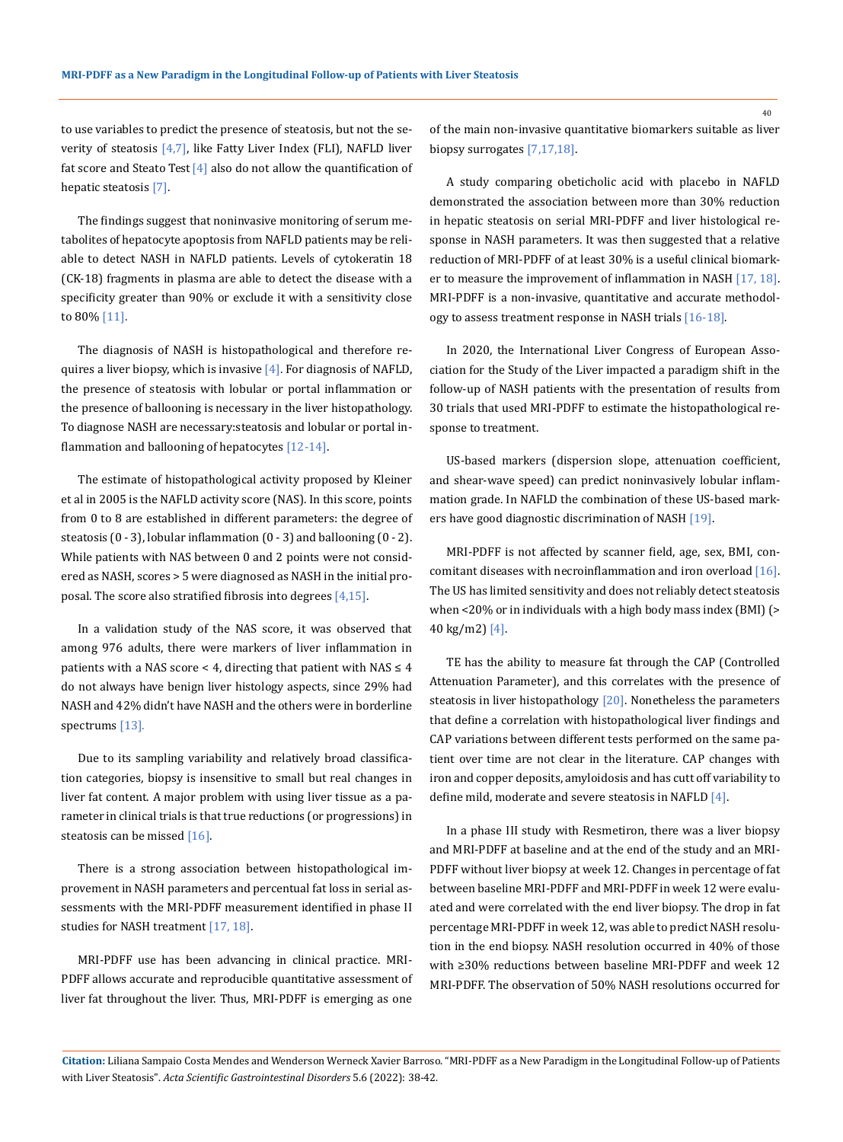to use variables to predict the presence of steatosis, but not the severity of steatosis [4,7], like Fatty Liver Index (FLI), NAFLD liver fat score and Steato Test  $[4]$  also do not allow the quantification of hepatic steatosis [7].

The findings suggest that noninvasive monitoring of serum metabolites of hepatocyte apoptosis from NAFLD patients may be reliable to detect NASH in NAFLD patients. Levels of cytokeratin 18 (CK-18) fragments in plasma are able to detect the disease with a specificity greater than 90% or exclude it with a sensitivity close to 80% [11].

The diagnosis of NASH is histopathological and therefore requires a liver biopsy, which is invasive  $[4]$ . For diagnosis of NAFLD, the presence of steatosis with lobular or portal inflammation or the presence of ballooning is necessary in the liver histopathology. To diagnose NASH are necessary:steatosis and lobular or portal in flammation and ballooning of hepatocytes [12-14].

The estimate of histopathological activity proposed by Kleiner et al in 2005 is the NAFLD activity score (NAS). In this score, points from 0 to 8 are established in different parameters: the degree of steatosis (0 - 3), lobular inflammation (0 - 3) and ballooning (0 - 2). While patients with NAS between 0 and 2 points were not considered as NASH, scores > 5 were diagnosed as NASH in the initial proposal. The score also stratified fibrosis into degrees  $[4,15]$ .

In a validation study of the NAS score, it was observed that among 976 adults, there were markers of liver inflammation in patients with a NAS score < 4, directing that patient with  $NAS \leq 4$ do not always have benign liver histology aspects, since 29% had NASH and 42% didn't have NASH and the others were in borderline spectrums [13].

Due to its sampling variability and relatively broad classification categories, biopsy is insensitive to small but real changes in liver fat content. A major problem with using liver tissue as a parameter in clinical trials is that true reductions (or progressions) in steatosis can be missed [16].

There is a strong association between histopathological improvement in NASH parameters and percentual fat loss in serial assessments with the MRI-PDFF measurement identified in phase II studies for NASH treatment [17, 18].

MRI-PDFF use has been advancing in clinical practice. MRI-PDFF allows accurate and reproducible quantitative assessment of liver fat throughout the liver. Thus, MRI-PDFF is emerging as one

of the main non-invasive quantitative biomarkers suitable as liver biopsy surrogates [7,17,18].

A study comparing obeticholic acid with placebo in NAFLD demonstrated the association between more than 30% reduction in hepatic steatosis on serial MRI-PDFF and liver histological response in NASH parameters. It was then suggested that a relative reduction of MRI-PDFF of at least 30% is a useful clinical biomarker to measure the improvement of inflammation in NASH [17, 18]. MRI-PDFF is a non-invasive, quantitative and accurate methodology to assess treatment response in NASH trials [16-18].

In 2020, the International Liver Congress of European Association for the Study of the Liver impacted a paradigm shift in the follow-up of NASH patients with the presentation of results from 30 trials that used MRI-PDFF to estimate the histopathological response to treatment.

US-based markers (dispersion slope, attenuation coefficient, and shear-wave speed) can predict noninvasively lobular inflammation grade. In NAFLD the combination of these US-based markers have good diagnostic discrimination of NASH [19].

MRI-PDFF is not affected by scanner field, age, sex, BMI, concomitant diseases with necroinflammation and iron overload [16]. The US has limited sensitivity and does not reliably detect steatosis when <20% or in individuals with a high body mass index (BMI) (> 40 kg/m2) [4].

TE has the ability to measure fat through the CAP (Controlled Attenuation Parameter), and this correlates with the presence of steatosis in liver histopathology [20]. Nonetheless the parameters that define a correlation with histopathological liver findings and CAP variations between different tests performed on the same patient over time are not clear in the literature. CAP changes with iron and copper deposits, amyloidosis and has cutt off variability to define mild, moderate and severe steatosis in NAFLD [4].

In a phase III study with Resmetiron, there was a liver biopsy and MRI-PDFF at baseline and at the end of the study and an MRI-PDFF without liver biopsy at week 12. Changes in percentage of fat between baseline MRI-PDFF and MRI-PDFF in week 12 were evaluated and were correlated with the end liver biopsy. The drop in fat percentage MRI-PDFF in week 12, was able to predict NASH resolution in the end biopsy. NASH resolution occurred in 40% of those with ≥30% reductions between baseline MRI-PDFF and week 12 MRI-PDFF. The observation of 50% NASH resolutions occurred for

**Citation:** Liliana Sampaio Costa Mendes and Wenderson Werneck Xavier Barroso. "MRI-PDFF as a New Paradigm in the Longitudinal Follow-up of Patients with Liver Steatosis". *Acta Scientific Gastrointestinal Disorders* 5.6 (2022): 38-42.

40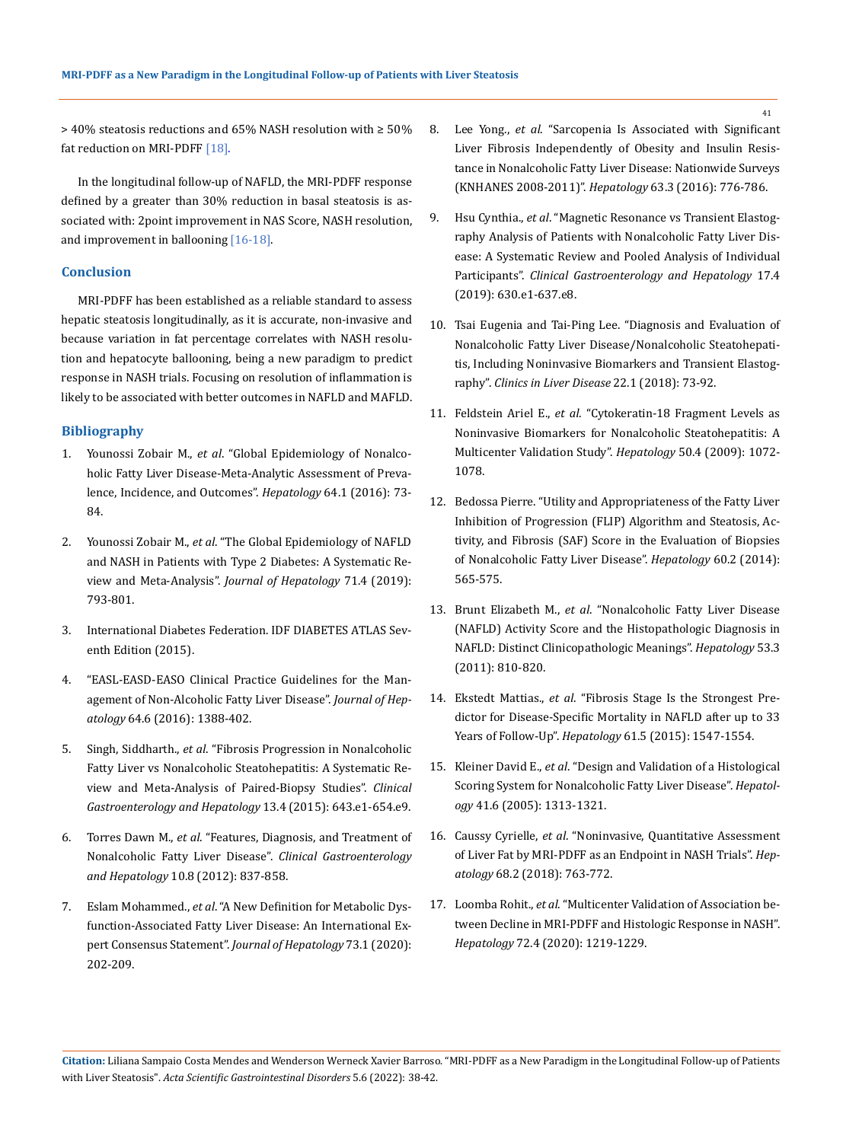> 40% steatosis reductions and 65% NASH resolution with ≥ 50% fat reduction on MRI-PDFF [18].

In the longitudinal follow-up of NAFLD, the MRI-PDFF response defined by a greater than 30% reduction in basal steatosis is associated with: 2point improvement in NAS Score, NASH resolution, and improvement in ballooning [16-18].

### **Conclusion**

MRI-PDFF has been established as a reliable standard to assess hepatic steatosis longitudinally, as it is accurate, non-invasive and because variation in fat percentage correlates with NASH resolution and hepatocyte ballooning, being a new paradigm to predict response in NASH trials. Focusing on resolution of inflammation is likely to be associated with better outcomes in NAFLD and MAFLD.

#### **Bibliography**

- 1. Younossi Zobair M., *et al*[. "Global Epidemiology of Nonalco](https://pubmed.ncbi.nlm.nih.gov/26707365/)[holic Fatty Liver Disease-Meta-Analytic Assessment of Preva](https://pubmed.ncbi.nlm.nih.gov/26707365/)[lence, Incidence, and Outcomes".](https://pubmed.ncbi.nlm.nih.gov/26707365/) *Hepatology* 64.1 (2016): 73- [84.](https://pubmed.ncbi.nlm.nih.gov/26707365/)
- 2. Younossi Zobair M., *et al*[. "The Global Epidemiology of NAFLD](https://pubmed.ncbi.nlm.nih.gov/31279902/) [and NASH in Patients with Type 2 Diabetes: A Systematic Re](https://pubmed.ncbi.nlm.nih.gov/31279902/)[view and Meta-Analysis".](https://pubmed.ncbi.nlm.nih.gov/31279902/) *Journal of Hepatology* 71.4 (2019): [793-801.](https://pubmed.ncbi.nlm.nih.gov/31279902/)
- 3. [International Diabetes Federation. IDF DIABETES ATLAS Sev](https://www.diabetesatlas.org/upload/resources/previous/files/7/IDF%20Diabetes%20Atlas%207th.pdf)[enth Edition \(2015\).](https://www.diabetesatlas.org/upload/resources/previous/files/7/IDF%20Diabetes%20Atlas%207th.pdf)
- 4. ["EASL-EASD-EASO Clinical Practice Guidelines for the Man](https://pubmed.ncbi.nlm.nih.gov/27062661/)agement of Non-Alcoholic Fatty Liver Disease". *Journal of Hepatology* [64.6 \(2016\): 1388-402.](https://pubmed.ncbi.nlm.nih.gov/27062661/)
- 5. Singh, Siddharth., *et al*[. "Fibrosis Progression in Nonalcoholic](https://pubmed.ncbi.nlm.nih.gov/24768810/) [Fatty Liver vs Nonalcoholic Steatohepatitis: A Systematic Re](https://pubmed.ncbi.nlm.nih.gov/24768810/)[view and Meta-Analysis of Paired-Biopsy Studies".](https://pubmed.ncbi.nlm.nih.gov/24768810/) *Clinical [Gastroenterology and Hepatology](https://pubmed.ncbi.nlm.nih.gov/24768810/)* 13.4 (2015): 643.e1-654.e9.
- 6. Torres Dawn M., *et al*[. "Features, Diagnosis, and Treatment of](https://pubmed.ncbi.nlm.nih.gov/22446927/) [Nonalcoholic Fatty Liver Disease".](https://pubmed.ncbi.nlm.nih.gov/22446927/) *Clinical Gastroenterology and Hepatology* [10.8 \(2012\): 837-858.](https://pubmed.ncbi.nlm.nih.gov/22446927/)
- 7. Eslam Mohammed., *et al*[. "A New Definition for Metabolic Dys](https://pubmed.ncbi.nlm.nih.gov/32278004/)[function-Associated Fatty Liver Disease: An International Ex](https://pubmed.ncbi.nlm.nih.gov/32278004/)[pert Consensus Statement".](https://pubmed.ncbi.nlm.nih.gov/32278004/) *Journal of Hepatology* 73.1 (2020): [202-209.](https://pubmed.ncbi.nlm.nih.gov/32278004/)
- 8. Lee Yong., *et al*[. "Sarcopenia Is Associated with Significant](https://pubmed.ncbi.nlm.nih.gov/26638128/)  [Liver Fibrosis Independently of Obesity and Insulin Resis](https://pubmed.ncbi.nlm.nih.gov/26638128/)[tance in Nonalcoholic Fatty Liver Disease: Nationwide Surveys](https://pubmed.ncbi.nlm.nih.gov/26638128/)  [\(KNHANES 2008-2011\)".](https://pubmed.ncbi.nlm.nih.gov/26638128/) *Hepatology* 63.3 (2016): 776-786.
- 9. Hsu Cynthia., *et al*[. "Magnetic Resonance vs Transient Elastog](https://pubmed.ncbi.nlm.nih.gov/29908362/)[raphy Analysis of Patients with Nonalcoholic Fatty Liver Dis](https://pubmed.ncbi.nlm.nih.gov/29908362/)[ease: A Systematic Review and Pooled Analysis of Individual](https://pubmed.ncbi.nlm.nih.gov/29908362/)  Participants". *[Clinical Gastroenterology and Hepatology](https://pubmed.ncbi.nlm.nih.gov/29908362/)* 17.4 [\(2019\): 630.e1-637.e8.](https://pubmed.ncbi.nlm.nih.gov/29908362/)
- 10. [Tsai Eugenia and Tai-Ping Lee. "Diagnosis and Evaluation of](https://pubmed.ncbi.nlm.nih.gov/29128062/)  [Nonalcoholic Fatty Liver Disease/Nonalcoholic Steatohepati](https://pubmed.ncbi.nlm.nih.gov/29128062/)[tis, Including Noninvasive Biomarkers and Transient Elastog](https://pubmed.ncbi.nlm.nih.gov/29128062/)raphy". *[Clinics in Liver Disease](https://pubmed.ncbi.nlm.nih.gov/29128062/)* 22.1 (2018): 73-92.
- 11. Feldstein Ariel E., *et al*[. "Cytokeratin-18 Fragment Levels as](https://pubmed.ncbi.nlm.nih.gov/19585618/)  [Noninvasive Biomarkers for Nonalcoholic Steatohepatitis: A](https://pubmed.ncbi.nlm.nih.gov/19585618/)  [Multicenter Validation Study".](https://pubmed.ncbi.nlm.nih.gov/19585618/) *Hepatology* 50.4 (2009): 1072- [1078.](https://pubmed.ncbi.nlm.nih.gov/19585618/)
- 12. [Bedossa Pierre. "Utility and Appropriateness of the Fatty Liver](https://pubmed.ncbi.nlm.nih.gov/24753132/)  [Inhibition of Progression \(FLIP\) Algorithm and Steatosis, Ac](https://pubmed.ncbi.nlm.nih.gov/24753132/)[tivity, and Fibrosis \(SAF\) Score in the Evaluation of Biopsies](https://pubmed.ncbi.nlm.nih.gov/24753132/)  [of Nonalcoholic Fatty Liver Disease".](https://pubmed.ncbi.nlm.nih.gov/24753132/) *Hepatology* 60.2 (2014): [565-575.](https://pubmed.ncbi.nlm.nih.gov/24753132/)
- 13. Brunt Elizabeth M., *et al*[. "Nonalcoholic Fatty Liver Disease](https://pubmed.ncbi.nlm.nih.gov/21319198/)  [\(NAFLD\) Activity Score and the Histopathologic Diagnosis in](https://pubmed.ncbi.nlm.nih.gov/21319198/)  [NAFLD: Distinct Clinicopathologic Meanings".](https://pubmed.ncbi.nlm.nih.gov/21319198/) *Hepatology* 53.3 [\(2011\): 810-820.](https://pubmed.ncbi.nlm.nih.gov/21319198/)
- 14. Ekstedt Mattias., *et al*[. "Fibrosis Stage Is the Strongest Pre](https://pubmed.ncbi.nlm.nih.gov/25125077/)[dictor for Disease-Specific Mortality in NAFLD after up to 33](https://pubmed.ncbi.nlm.nih.gov/25125077/)  Years of Follow-Up". *Hepatology* [61.5 \(2015\): 1547-1554.](https://pubmed.ncbi.nlm.nih.gov/25125077/)
- 15. Kleiner David E., *et al*[. "Design and Validation of a Histological](https://pubmed.ncbi.nlm.nih.gov/15915461/)  [Scoring System for Nonalcoholic Fatty Liver Disease".](https://pubmed.ncbi.nlm.nih.gov/15915461/) *Hepatology* [41.6 \(2005\): 1313-1321.](https://pubmed.ncbi.nlm.nih.gov/15915461/)
- 16. Caussy Cyrielle, *et al*[. "Noninvasive, Quantitative Assessment](https://pubmed.ncbi.nlm.nih.gov/29356032/)  [of Liver Fat by MRI-PDFF as an Endpoint in NASH Trials".](https://pubmed.ncbi.nlm.nih.gov/29356032/) *Hepatology* [68.2 \(2018\): 763-772.](https://pubmed.ncbi.nlm.nih.gov/29356032/)
- 17. Loomba Rohit., *et al*[. "Multicenter Validation of Association be](https://pubmed.ncbi.nlm.nih.gov/31965579/)[tween Decline in MRI-PDFF and Histologic Response in NASH".](https://pubmed.ncbi.nlm.nih.gov/31965579/)  *Hepatology* [72.4 \(2020\): 1219-1229.](https://pubmed.ncbi.nlm.nih.gov/31965579/)

**Citation:** Liliana Sampaio Costa Mendes and Wenderson Werneck Xavier Barroso. "MRI-PDFF as a New Paradigm in the Longitudinal Follow-up of Patients with Liver Steatosis". *Acta Scientific Gastrointestinal Disorders* 5.6 (2022): 38-42.

41